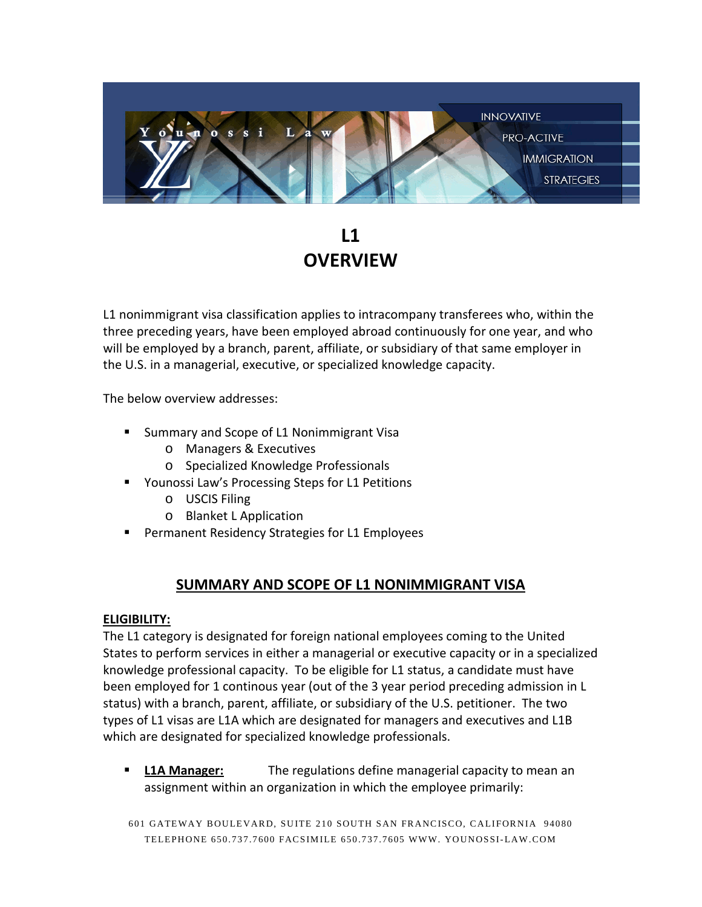

# **L1 OVERVIEW**

L1 nonimmigrant visa classification applies to intracompany transferees who, within the three preceding years, have been employed abroad continuously for one year, and who will be employed by a branch, parent, affiliate, or subsidiary of that same employer in the U.S. in a managerial, executive, or specialized knowledge capacity.

The below overview addresses:

- **E** Summary and Scope of L1 Nonimmigrant Visa
	- o Managers & Executives
	- o Specialized Knowledge Professionals
- Younossi Law's Processing Steps for L1 Petitions
	- o USCIS Filing
	- o Blanket L Application
- Permanent Residency Strategies for L1 Employees

## **SUMMARY AND SCOPE OF L1 NONIMMIGRANT VISA**

#### **ELIGIBILITY:**

The L1 category is designated for foreign national employees coming to the United States to perform services in either a managerial or executive capacity or in a specialized knowledge professional capacity. To be eligible for L1 status, a candidate must have been employed for 1 continous year (out of the 3 year period preceding admission in L status) with a branch, parent, affiliate, or subsidiary of the U.S. petitioner. The two types of L1 visas are L1A which are designated for managers and executives and L1B which are designated for specialized knowledge professionals.

**L1A Manager:** The regulations define managerial capacity to mean an assignment within an organization in which the employee primarily:

601 GATEWAY BOULEVARD, SUITE 210 SOUTH SAN FRANCISCO, CALIFORNIA 94080 TELEPHONE 650.737.7600 FACSIMILE 65 0.737.7605 WWW. YOUNOSSI-LAW.COM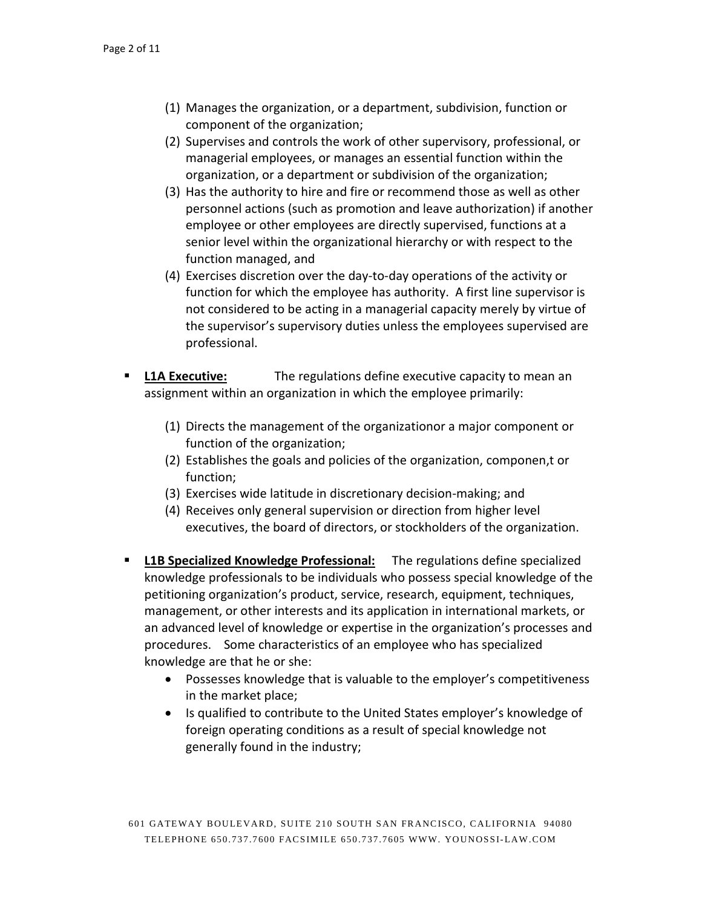- (1) Manages the organization, or a department, subdivision, function or component of the organization;
- (2) Supervises and controls the work of other supervisory, professional, or managerial employees, or manages an essential function within the organization, or a department or subdivision of the organization;
- (3) Has the authority to hire and fire or recommend those as well as other personnel actions (such as promotion and leave authorization) if another employee or other employees are directly supervised, functions at a senior level within the organizational hierarchy or with respect to the function managed, and
- (4) Exercises discretion over the day-to-day operations of the activity or function for which the employee has authority. A first line supervisor is not considered to be acting in a managerial capacity merely by virtue of the supervisor's supervisory duties unless the employees supervised are professional.
- **L1A Executive:** The regulations define executive capacity to mean an assignment within an organization in which the employee primarily:
	- (1) Directs the management of the organizationor a major component or function of the organization;
	- (2) Establishes the goals and policies of the organization, componen,t or function;
	- (3) Exercises wide latitude in discretionary decision-making; and
	- (4) Receives only general supervision or direction from higher level executives, the board of directors, or stockholders of the organization.
- **L1B Specialized Knowledge Professional:** The regulations define specialized knowledge professionals to be individuals who possess special knowledge of the petitioning organization's product, service, research, equipment, techniques, management, or other interests and its application in international markets, or an advanced level of knowledge or expertise in the organization's processes and procedures. Some characteristics of an employee who has specialized knowledge are that he or she:
	- Possesses knowledge that is valuable to the employer's competitiveness in the market place;
	- Is qualified to contribute to the United States employer's knowledge of foreign operating conditions as a result of special knowledge not generally found in the industry;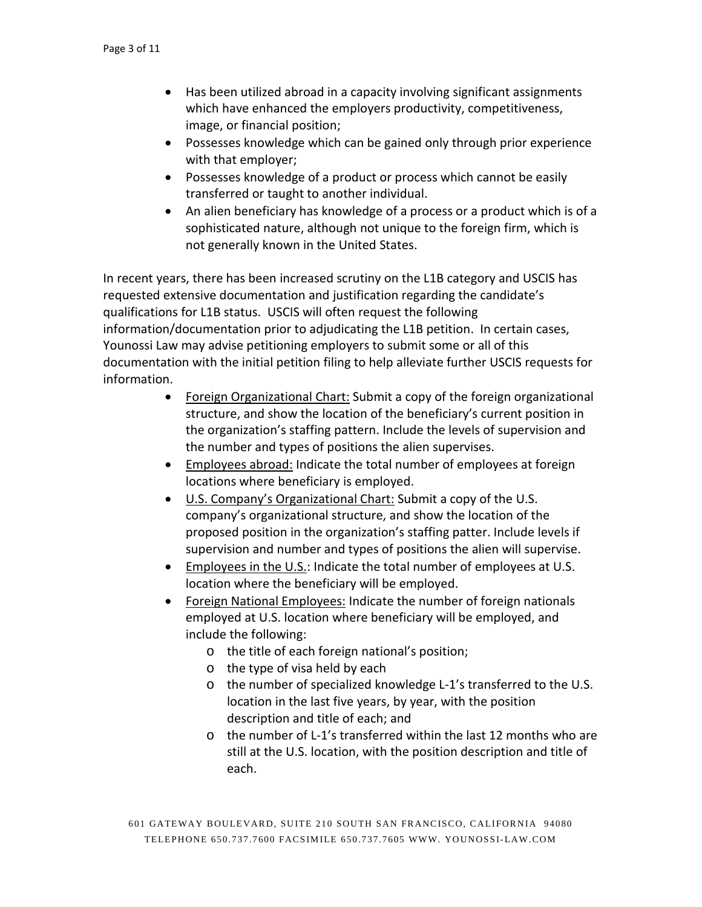- Has been utilized abroad in a capacity involving significant assignments which have enhanced the employers productivity, competitiveness, image, or financial position;
- Possesses knowledge which can be gained only through prior experience with that employer;
- Possesses knowledge of a product or process which cannot be easily transferred or taught to another individual.
- An alien beneficiary has knowledge of a process or a product which is of a sophisticated nature, although not unique to the foreign firm, which is not generally known in the United States.

In recent years, there has been increased scrutiny on the L1B category and USCIS has requested extensive documentation and justification regarding the candidate's qualifications for L1B status. USCIS will often request the following information/documentation prior to adjudicating the L1B petition. In certain cases, Younossi Law may advise petitioning employers to submit some or all of this documentation with the initial petition filing to help alleviate further USCIS requests for information.

- Foreign Organizational Chart: Submit a copy of the foreign organizational structure, and show the location of the beneficiary's current position in the organization's staffing pattern. Include the levels of supervision and the number and types of positions the alien supervises.
- Employees abroad: Indicate the total number of employees at foreign locations where beneficiary is employed.
- U.S. Company's Organizational Chart: Submit a copy of the U.S. company's organizational structure, and show the location of the proposed position in the organization's staffing patter. Include levels if supervision and number and types of positions the alien will supervise.
- Employees in the U.S.: Indicate the total number of employees at U.S. location where the beneficiary will be employed.
- Foreign National Employees: Indicate the number of foreign nationals employed at U.S. location where beneficiary will be employed, and include the following:
	- o the title of each foreign national's position;
	- o the type of visa held by each
	- o the number of specialized knowledge L-1's transferred to the U.S. location in the last five years, by year, with the position description and title of each; and
	- o the number of L-1's transferred within the last 12 months who are still at the U.S. location, with the position description and title of each.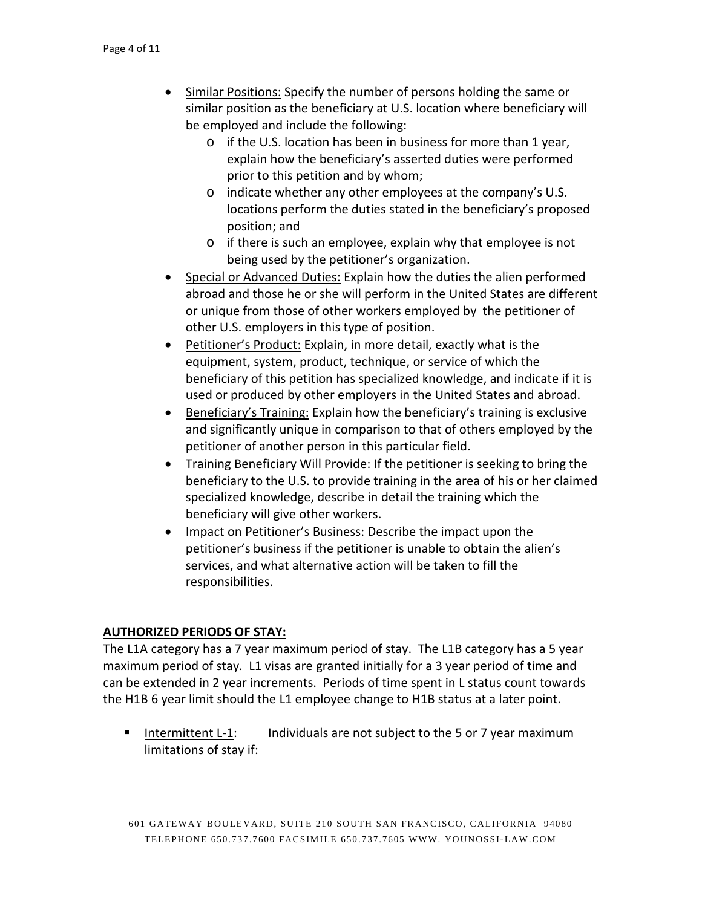- Similar Positions: Specify the number of persons holding the same or similar position as the beneficiary at U.S. location where beneficiary will be employed and include the following:
	- o if the U.S. location has been in business for more than 1 year, explain how the beneficiary's asserted duties were performed prior to this petition and by whom;
	- o indicate whether any other employees at the company's U.S. locations perform the duties stated in the beneficiary's proposed position; and
	- o if there is such an employee, explain why that employee is not being used by the petitioner's organization.
- Special or Advanced Duties: Explain how the duties the alien performed abroad and those he or she will perform in the United States are different or unique from those of other workers employed by the petitioner of other U.S. employers in this type of position.
- Petitioner's Product: Explain, in more detail, exactly what is the equipment, system, product, technique, or service of which the beneficiary of this petition has specialized knowledge, and indicate if it is used or produced by other employers in the United States and abroad.
- Beneficiary's Training: Explain how the beneficiary's training is exclusive and significantly unique in comparison to that of others employed by the petitioner of another person in this particular field.
- Training Beneficiary Will Provide: If the petitioner is seeking to bring the beneficiary to the U.S. to provide training in the area of his or her claimed specialized knowledge, describe in detail the training which the beneficiary will give other workers.
- Impact on Petitioner's Business: Describe the impact upon the petitioner's business if the petitioner is unable to obtain the alien's services, and what alternative action will be taken to fill the responsibilities.

### **AUTHORIZED PERIODS OF STAY:**

The L1A category has a 7 year maximum period of stay. The L1B category has a 5 year maximum period of stay. L1 visas are granted initially for a 3 year period of time and can be extended in 2 year increments. Periods of time spent in L status count towards the H1B 6 year limit should the L1 employee change to H1B status at a later point.

Intermittent  $L-1$ : Individuals are not subject to the 5 or 7 year maximum limitations of stay if: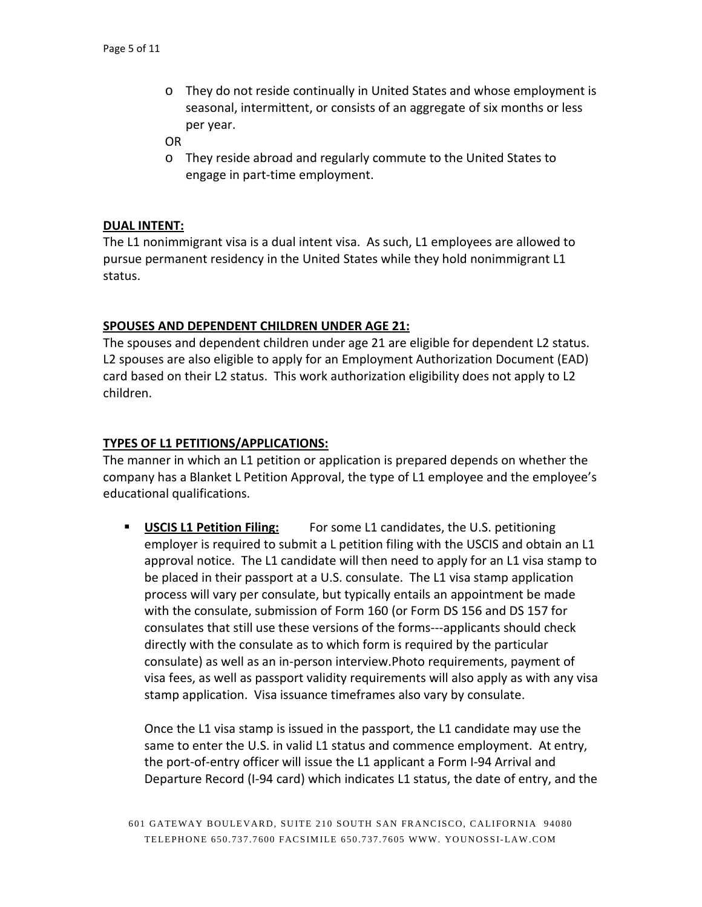- o They do not reside continually in United States and whose employment is seasonal, intermittent, or consists of an aggregate of six months or less per year.
- OR
- o They reside abroad and regularly commute to the United States to engage in part-time employment.

#### **DUAL INTENT:**

The L1 nonimmigrant visa is a dual intent visa. As such, L1 employees are allowed to pursue permanent residency in the United States while they hold nonimmigrant L1 status.

#### **SPOUSES AND DEPENDENT CHILDREN UNDER AGE 21:**

The spouses and dependent children under age 21 are eligible for dependent L2 status. L2 spouses are also eligible to apply for an Employment Authorization Document (EAD) card based on their L2 status. This work authorization eligibility does not apply to L2 children.

#### **TYPES OF L1 PETITIONS/APPLICATIONS:**

The manner in which an L1 petition or application is prepared depends on whether the company has a Blanket L Petition Approval, the type of L1 employee and the employee's educational qualifications.

**USCIS L1 Petition Filing:** For some L1 candidates, the U.S. petitioning employer is required to submit a L petition filing with the USCIS and obtain an L1 approval notice. The L1 candidate will then need to apply for an L1 visa stamp to be placed in their passport at a U.S. consulate. The L1 visa stamp application process will vary per consulate, but typically entails an appointment be made with the consulate, submission of Form 160 (or Form DS 156 and DS 157 for consulates that still use these versions of the forms---applicants should check directly with the consulate as to which form is required by the particular consulate) as well as an in-person interview.Photo requirements, payment of visa fees, as well as passport validity requirements will also apply as with any visa stamp application. Visa issuance timeframes also vary by consulate.

Once the L1 visa stamp is issued in the passport, the L1 candidate may use the same to enter the U.S. in valid L1 status and commence employment. At entry, the port-of-entry officer will issue the L1 applicant a Form I-94 Arrival and Departure Record (I-94 card) which indicates L1 status, the date of entry, and the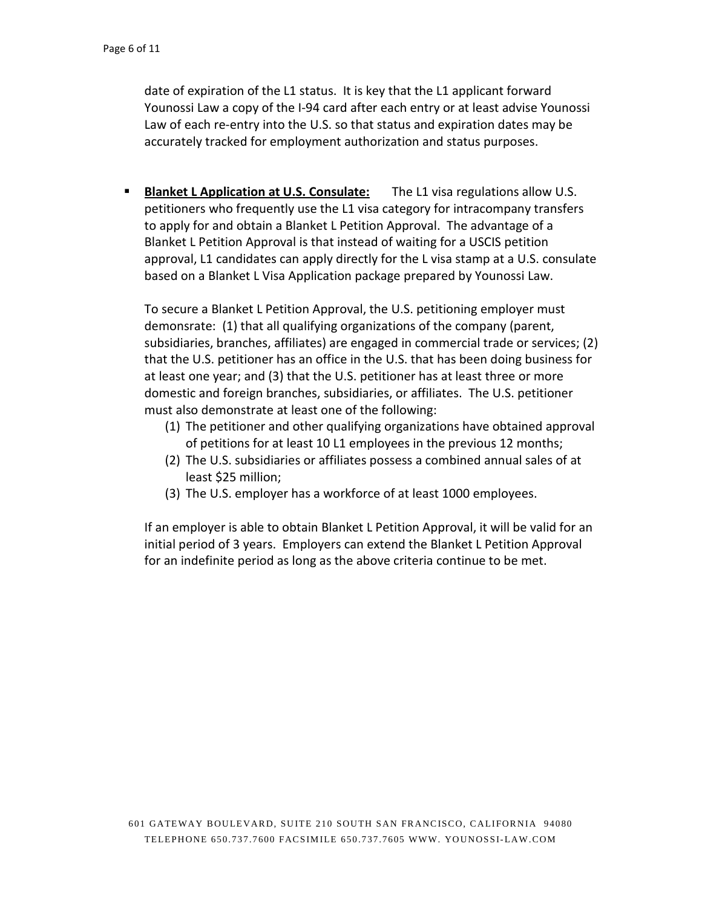date of expiration of the L1 status. It is key that the L1 applicant forward Younossi Law a copy of the I-94 card after each entry or at least advise Younossi Law of each re-entry into the U.S. so that status and expiration dates may be accurately tracked for employment authorization and status purposes.

**Blanket L Application at U.S. Consulate:** The L1 visa regulations allow U.S. petitioners who frequently use the L1 visa category for intracompany transfers to apply for and obtain a Blanket L Petition Approval. The advantage of a Blanket L Petition Approval is that instead of waiting for a USCIS petition approval, L1 candidates can apply directly for the L visa stamp at a U.S. consulate based on a Blanket L Visa Application package prepared by Younossi Law.

To secure a Blanket L Petition Approval, the U.S. petitioning employer must demonsrate: (1) that all qualifying organizations of the company (parent, subsidiaries, branches, affiliates) are engaged in commercial trade or services; (2) that the U.S. petitioner has an office in the U.S. that has been doing business for at least one year; and (3) that the U.S. petitioner has at least three or more domestic and foreign branches, subsidiaries, or affiliates. The U.S. petitioner must also demonstrate at least one of the following:

- (1) The petitioner and other qualifying organizations have obtained approval of petitions for at least 10 L1 employees in the previous 12 months;
- (2) The U.S. subsidiaries or affiliates possess a combined annual sales of at least \$25 million;
- (3) The U.S. employer has a workforce of at least 1000 employees.

If an employer is able to obtain Blanket L Petition Approval, it will be valid for an initial period of 3 years. Employers can extend the Blanket L Petition Approval for an indefinite period as long as the above criteria continue to be met.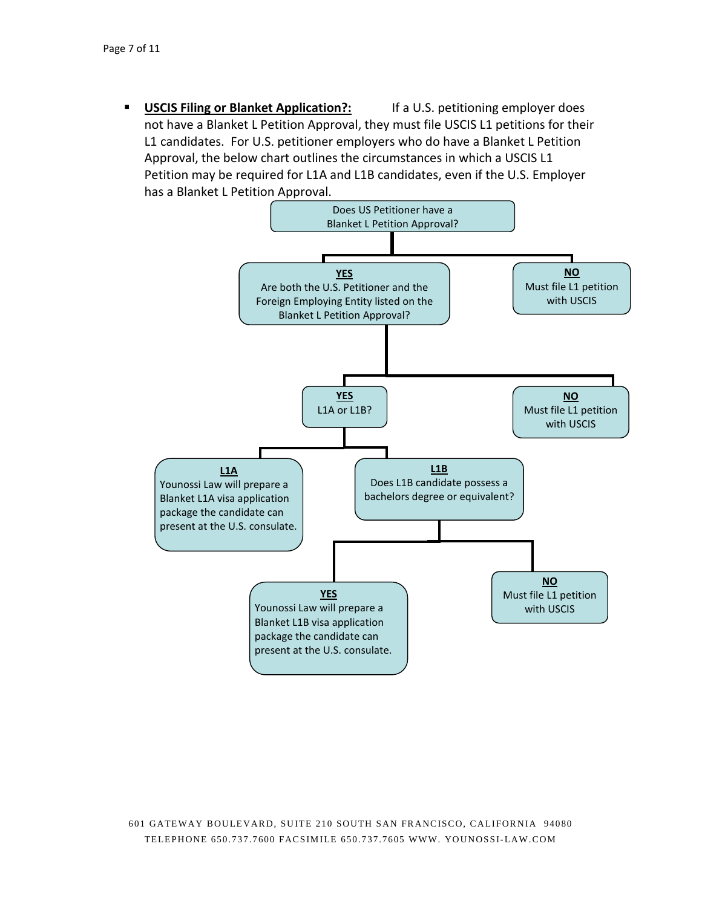**USCIS Filing or Blanket Application?:** If a U.S. petitioning employer does not have a Blanket L Petition Approval, they must file USCIS L1 petitions for their L1 candidates. For U.S. petitioner employers who do have a Blanket L Petition Approval, the below chart outlines the circumstances in which a USCIS L1 Petition may be required for L1A and L1B candidates, even if the U.S. Employer has a Blanket L Petition Approval.



601 GATEWAY BOULEVARD, SUITE 210 SOUTH SAN FRANCISCO, CALIFORNIA 94080 TELEPHONE 650.737.7600 FACSIMILE 650.737 .7605 WWW. YOUNOSSI-LAW.COM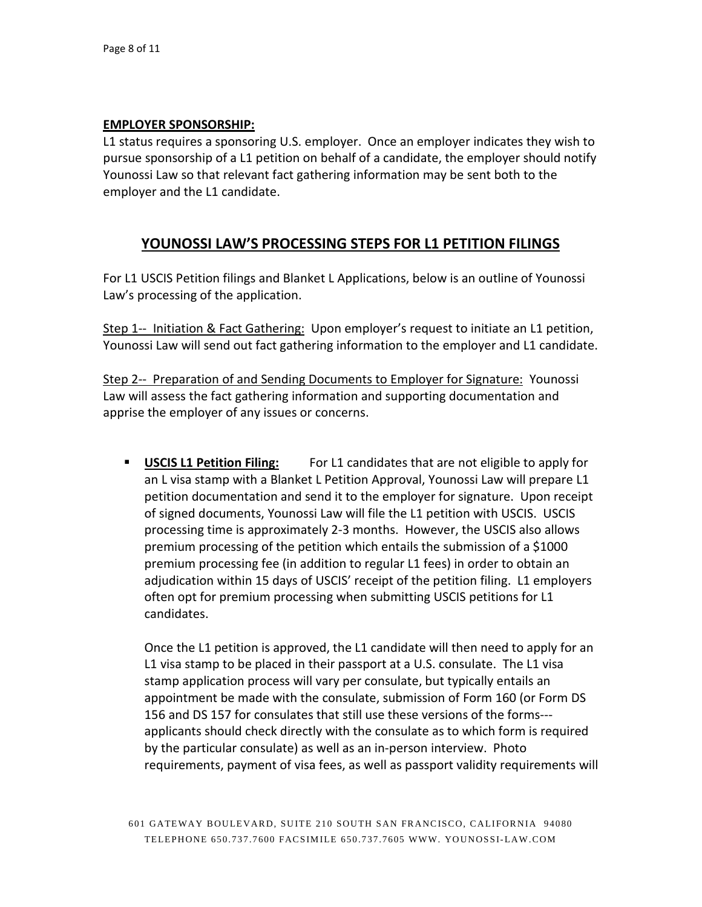#### **EMPLOYER SPONSORSHIP:**

L1 status requires a sponsoring U.S. employer. Once an employer indicates they wish to pursue sponsorship of a L1 petition on behalf of a candidate, the employer should notify Younossi Law so that relevant fact gathering information may be sent both to the employer and the L1 candidate.

## **YOUNOSSI LAW'S PROCESSING STEPS FOR L1 PETITION FILINGS**

For L1 USCIS Petition filings and Blanket L Applications, below is an outline of Younossi Law's processing of the application.

Step 1-- Initiation & Fact Gathering: Upon employer's request to initiate an L1 petition, Younossi Law will send out fact gathering information to the employer and L1 candidate.

Step 2-- Preparation of and Sending Documents to Employer for Signature: Younossi Law will assess the fact gathering information and supporting documentation and apprise the employer of any issues or concerns.

**USCIS L1 Petition Filing:** For L1 candidates that are not eligible to apply for an L visa stamp with a Blanket L Petition Approval, Younossi Law will prepare L1 petition documentation and send it to the employer for signature. Upon receipt of signed documents, Younossi Law will file the L1 petition with USCIS. USCIS processing time is approximately 2-3 months. However, the USCIS also allows premium processing of the petition which entails the submission of a \$1000 premium processing fee (in addition to regular L1 fees) in order to obtain an adjudication within 15 days of USCIS' receipt of the petition filing. L1 employers often opt for premium processing when submitting USCIS petitions for L1 candidates.

Once the L1 petition is approved, the L1 candidate will then need to apply for an L1 visa stamp to be placed in their passport at a U.S. consulate. The L1 visa stamp application process will vary per consulate, but typically entails an appointment be made with the consulate, submission of Form 160 (or Form DS 156 and DS 157 for consulates that still use these versions of the forms-- applicants should check directly with the consulate as to which form is required by the particular consulate) as well as an in-person interview. Photo requirements, payment of visa fees, as well as passport validity requirements will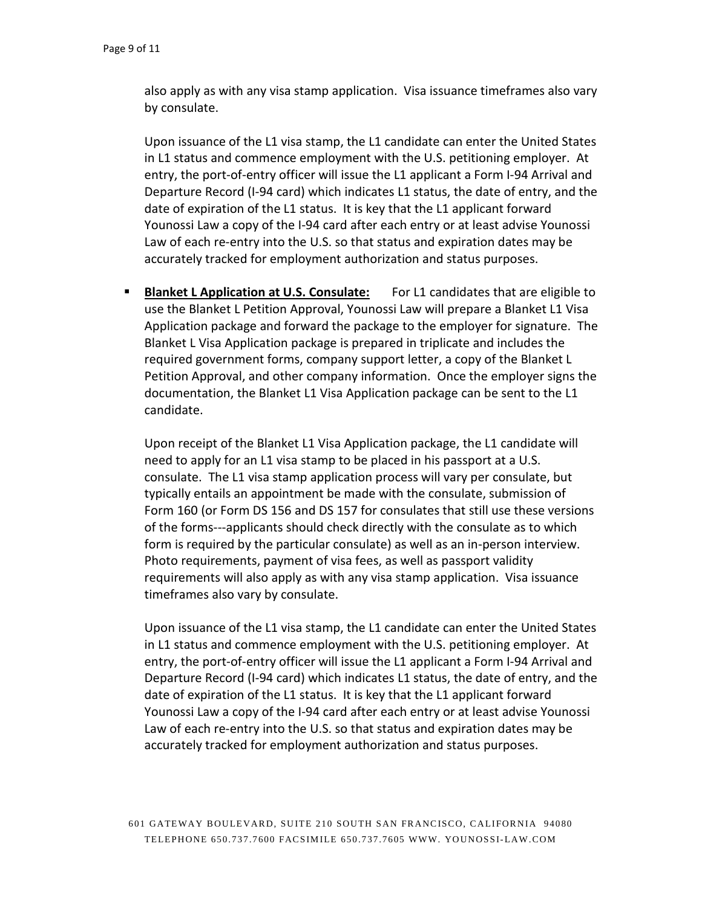also apply as with any visa stamp application. Visa issuance timeframes also vary by consulate.

Upon issuance of the L1 visa stamp, the L1 candidate can enter the United States in L1 status and commence employment with the U.S. petitioning employer. At entry, the port-of-entry officer will issue the L1 applicant a Form I-94 Arrival and Departure Record (I-94 card) which indicates L1 status, the date of entry, and the date of expiration of the L1 status. It is key that the L1 applicant forward Younossi Law a copy of the I-94 card after each entry or at least advise Younossi Law of each re-entry into the U.S. so that status and expiration dates may be accurately tracked for employment authorization and status purposes.

**Blanket L Application at U.S. Consulate:** For L1 candidates that are eligible to use the Blanket L Petition Approval, Younossi Law will prepare a Blanket L1 Visa Application package and forward the package to the employer for signature. The Blanket L Visa Application package is prepared in triplicate and includes the required government forms, company support letter, a copy of the Blanket L Petition Approval, and other company information. Once the employer signs the documentation, the Blanket L1 Visa Application package can be sent to the L1 candidate.

Upon receipt of the Blanket L1 Visa Application package, the L1 candidate will need to apply for an L1 visa stamp to be placed in his passport at a U.S. consulate. The L1 visa stamp application process will vary per consulate, but typically entails an appointment be made with the consulate, submission of Form 160 (or Form DS 156 and DS 157 for consulates that still use these versions of the forms---applicants should check directly with the consulate as to which form is required by the particular consulate) as well as an in-person interview. Photo requirements, payment of visa fees, as well as passport validity requirements will also apply as with any visa stamp application. Visa issuance timeframes also vary by consulate.

Upon issuance of the L1 visa stamp, the L1 candidate can enter the United States in L1 status and commence employment with the U.S. petitioning employer. At entry, the port-of-entry officer will issue the L1 applicant a Form I-94 Arrival and Departure Record (I-94 card) which indicates L1 status, the date of entry, and the date of expiration of the L1 status. It is key that the L1 applicant forward Younossi Law a copy of the I-94 card after each entry or at least advise Younossi Law of each re-entry into the U.S. so that status and expiration dates may be accurately tracked for employment authorization and status purposes.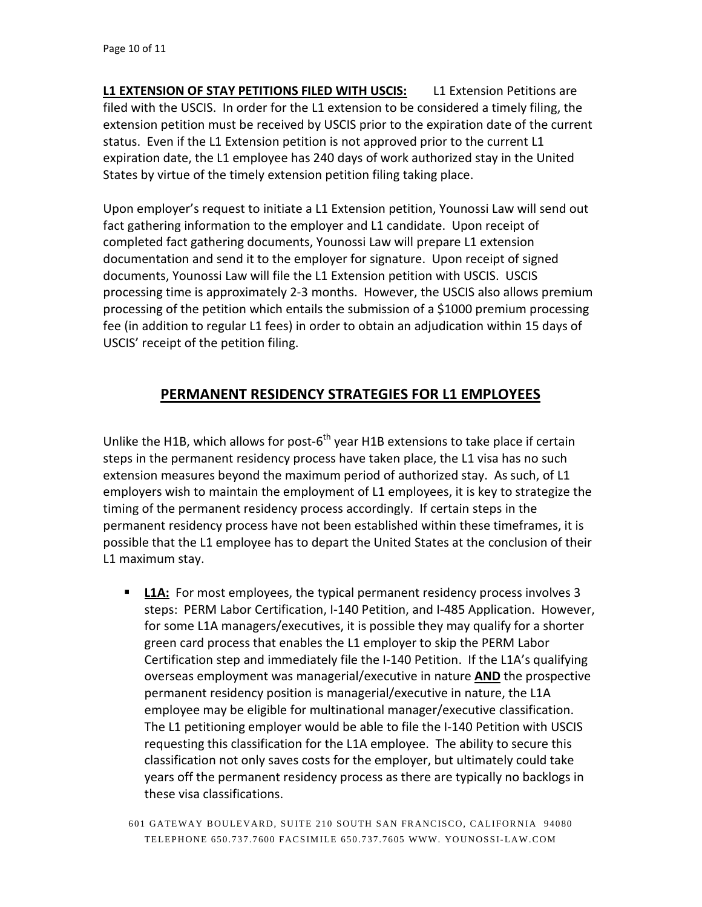**L1 EXTENSION OF STAY PETITIONS FILED WITH USCIS:** L1 Extension Petitions are filed with the USCIS. In order for the L1 extension to be considered a timely filing, the extension petition must be received by USCIS prior to the expiration date of the current status. Even if the L1 Extension petition is not approved prior to the current L1 expiration date, the L1 employee has 240 days of work authorized stay in the United States by virtue of the timely extension petition filing taking place.

Upon employer's request to initiate a L1 Extension petition, Younossi Law will send out fact gathering information to the employer and L1 candidate. Upon receipt of completed fact gathering documents, Younossi Law will prepare L1 extension documentation and send it to the employer for signature. Upon receipt of signed documents, Younossi Law will file the L1 Extension petition with USCIS. USCIS processing time is approximately 2-3 months. However, the USCIS also allows premium processing of the petition which entails the submission of a \$1000 premium processing fee (in addition to regular L1 fees) in order to obtain an adjudication within 15 days of USCIS' receipt of the petition filing.

## **PERMANENT RESIDENCY STRATEGIES FOR L1 EMPLOYEES**

Unlike the H1B, which allows for post- $6<sup>th</sup>$  year H1B extensions to take place if certain steps in the permanent residency process have taken place, the L1 visa has no such extension measures beyond the maximum period of authorized stay. As such, of L1 employers wish to maintain the employment of L1 employees, it is key to strategize the timing of the permanent residency process accordingly. If certain steps in the permanent residency process have not been established within these timeframes, it is possible that the L1 employee has to depart the United States at the conclusion of their L1 maximum stay.

**L1A:** For most employees, the typical permanent residency process involves 3 steps: PERM Labor Certification, I-140 Petition, and I-485 Application. However, for some L1A managers/executives, it is possible they may qualify for a shorter green card process that enables the L1 employer to skip the PERM Labor Certification step and immediately file the I-140 Petition. If the L1A's qualifying overseas employment was managerial/executive in nature **AND** the prospective permanent residency position is managerial/executive in nature, the L1A employee may be eligible for multinational manager/executive classification. The L1 petitioning employer would be able to file the I-140 Petition with USCIS requesting this classification for the L1A employee. The ability to secure this classification not only saves costs for the employer, but ultimately could take years off the permanent residency process as there are typically no backlogs in these visa classifications.